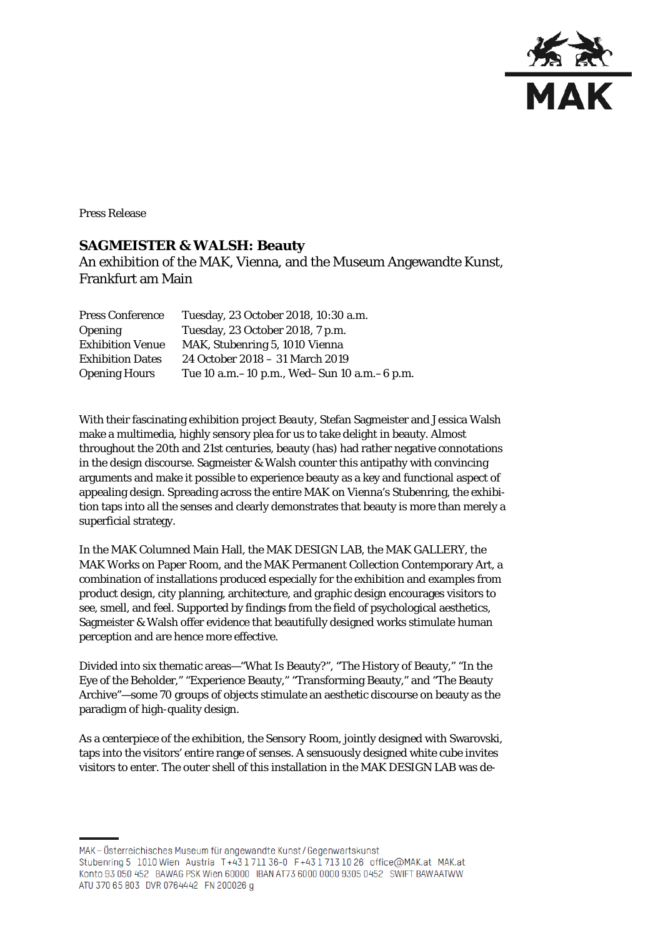

Press Release

## **SAGMEISTER & WALSH: Beauty**

An exhibition of the MAK, Vienna, and the Museum Angewandte Kunst, Frankfurt am Main

| <b>Press Conference</b> | Tuesday, 23 October 2018, 10:30 a.m.            |
|-------------------------|-------------------------------------------------|
| <b>Opening</b>          | Tuesday, 23 October 2018, 7 p.m.                |
| <b>Exhibition Venue</b> | MAK, Stubenring 5, 1010 Vienna                  |
| <b>Exhibition Dates</b> | 24 October 2018 - 31 March 2019                 |
| <b>Opening Hours</b>    | Tue 10 a.m. – 10 p.m., Wed–Sun 10 a.m. – 6 p.m. |

With their fascinating exhibition project *Beauty*, Stefan Sagmeister and Jessica Walsh make a multimedia, highly sensory plea for us to take delight in beauty. Almost throughout the 20th and 21st centuries, beauty (has) had rather negative connotations in the design discourse. Sagmeister & Walsh counter this antipathy with convincing arguments and make it possible to experience beauty as a key and functional aspect of appealing design. Spreading across the entire MAK on Vienna's Stubenring, the exhibition taps into all the senses and clearly demonstrates that beauty is more than merely a superficial strategy.

In the MAK Columned Main Hall, the MAK DESIGN LAB, the MAK GALLERY, the MAK Works on Paper Room, and the MAK Permanent Collection Contemporary Art, a combination of installations produced especially for the exhibition and examples from product design, city planning, architecture, and graphic design encourages visitors to see, smell, and feel. Supported by findings from the field of psychological aesthetics, Sagmeister & Walsh offer evidence that beautifully designed works stimulate human perception and are hence more effective.

Divided into six thematic areas—"What Is Beauty?", "The History of Beauty," "In the Eye of the Beholder," "Experience Beauty," "Transforming Beauty," and "The Beauty Archive"—some 70 groups of objects stimulate an aesthetic discourse on beauty as the paradigm of high-quality design.

As a centerpiece of the exhibition, the *Sensory Room*, jointly designed with Swarovski, taps into the visitors' entire range of senses. A sensuously designed white cube invites visitors to enter. The outer shell of this installation in the MAK DESIGN LAB was de-

MAK – Österreichisches Museum für angewandte Kunst/Gegenwartskunst Stubenring 5 1010 Wien Austria T+43 1711 36-0 F+43 1713 10 26 office@MAK.at MAK.at Konto 93 050 452 BAWAG PSK Wien 60000 IBAN AT73 6000 0000 9305 0452 SWIFT BAWAATWW ATU 370 65 803 DVR 0764442 FN 200026 q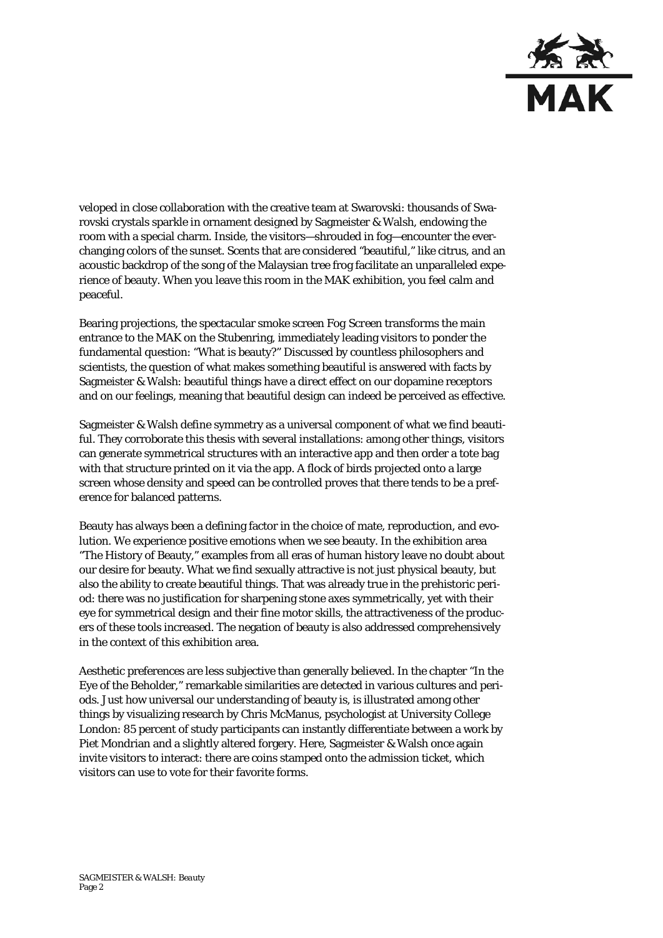

veloped in close collaboration with the creative team at Swarovski: thousands of Swarovski crystals sparkle in ornament designed by Sagmeister & Walsh, endowing the room with a special charm. Inside, the visitors—shrouded in fog—encounter the everchanging colors of the sunset. Scents that are considered "beautiful," like citrus, and an acoustic backdrop of the song of the Malaysian tree frog facilitate an unparalleled experience of beauty. When you leave this room in the MAK exhibition, you feel calm and peaceful.

Bearing projections, the spectacular smoke screen *Fog Screen* transforms the main entrance to the MAK on the Stubenring, immediately leading visitors to ponder the fundamental question: "What is beauty?" Discussed by countless philosophers and scientists, the question of what makes something beautiful is answered with facts by Sagmeister & Walsh: beautiful things have a direct effect on our dopamine receptors and on our feelings, meaning that beautiful design can indeed be perceived as effective.

Sagmeister & Walsh define symmetry as a universal component of what we find beautiful. They corroborate this thesis with several installations: among other things, visitors can generate symmetrical structures with an interactive app and then order a tote bag with that structure printed on it via the app. A flock of birds projected onto a large screen whose density and speed can be controlled proves that there tends to be a preference for balanced patterns.

Beauty has always been a defining factor in the choice of mate, reproduction, and evolution. We experience positive emotions when we see beauty. In the exhibition area "The History of Beauty," examples from all eras of human history leave no doubt about our desire for beauty. What we find sexually attractive is not just physical beauty, but also the ability to create beautiful things. That was already true in the prehistoric period: there was no justification for sharpening stone axes symmetrically, yet with their eye for symmetrical design and their fine motor skills, the attractiveness of the producers of these tools increased. The negation of beauty is also addressed comprehensively in the context of this exhibition area.

Aesthetic preferences are less subjective than generally believed. In the chapter "In the Eye of the Beholder," remarkable similarities are detected in various cultures and periods. Just how universal our understanding of beauty is, is illustrated among other things by visualizing research by Chris McManus, psychologist at University College London: 85 percent of study participants can instantly differentiate between a work by Piet Mondrian and a slightly altered forgery. Here, Sagmeister & Walsh once again invite visitors to interact: there are coins stamped onto the admission ticket, which visitors can use to vote for their favorite forms.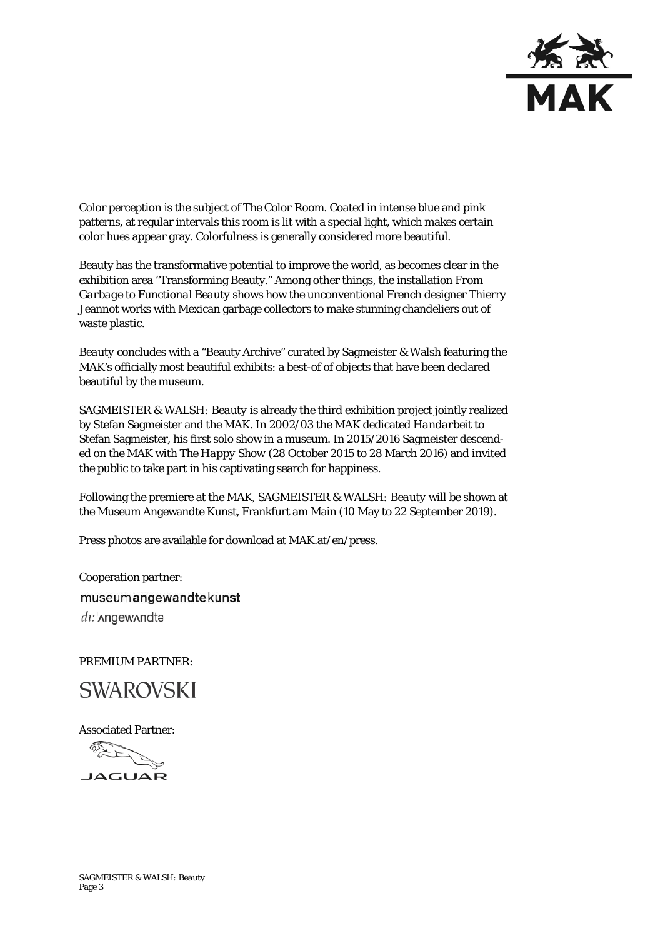

Color perception is the subject of *The Color Room*. Coated in intense blue and pink patterns, at regular intervals this room is lit with a special light, which makes certain color hues appear gray. Colorfulness is generally considered more beautiful.

Beauty has the transformative potential to improve the world, as becomes clear in the exhibition area "Transforming Beauty." Among other things, the installation *From Garbage to Functional Beauty* shows how the unconventional French designer Thierry Jeannot works with Mexican garbage collectors to make stunning chandeliers out of waste plastic.

*Beauty* concludes with a "Beauty Archive" curated by Sagmeister & Walsh featuring the MAK's officially most beautiful exhibits: a best-of of objects that have been declared beautiful by the museum.

*SAGMEISTER & WALSH: Beauty* is already the third exhibition project jointly realized by Stefan Sagmeister and the MAK. In 2002/03 the MAK dedicated *Handarbeit* to Stefan Sagmeister, his first solo show in a museum. In 2015/2016 Sagmeister descended on the MAK with *The Happy Show* (28 October 2015 to 28 March 2016) and invited the public to take part in his captivating search for happiness.

Following the premiere at the MAK, *SAGMEISTER & WALSH: Beauty* will be shown at the Museum Angewandte Kunst, Frankfurt am Main (10 May to 22 September 2019).

Press photos are available for download at MAK.at/en/press.

Cooperation partner: museumangewandtekunst  $di$ :' $\Lambda$ ngew $\Lambda$ ndtə

PREMIUM PARTNER:



Associated Partner: